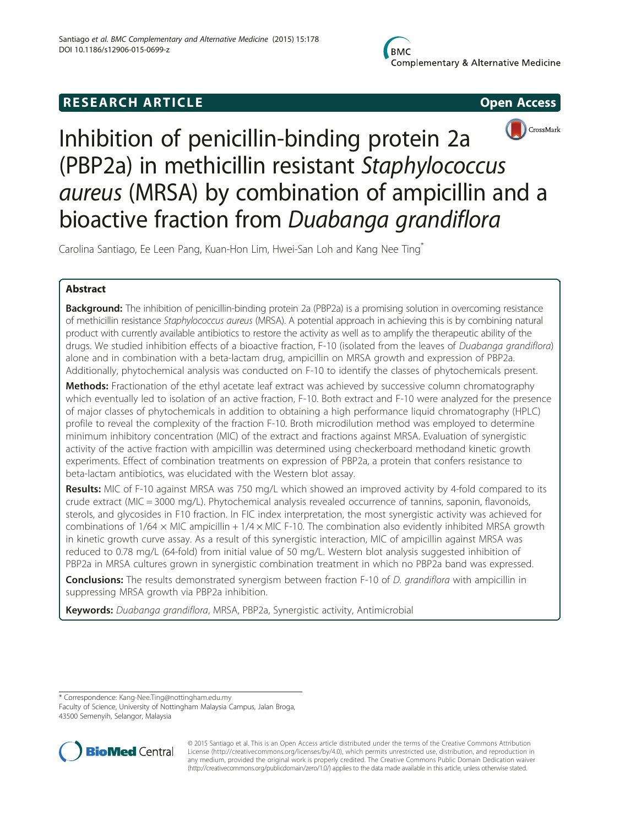# **RESEARCH ARTICLE CONSUMING A RESEARCH ARTICLE**





Inhibition of penicillin-binding protein 2a (PBP2a) in methicillin resistant Staphylococcus aureus (MRSA) by combination of ampicillin and a bioactive fraction from Duabanga grandiflora

Carolina Santiago, Ee Leen Pang, Kuan-Hon Lim, Hwei-San Loh and Kang Nee Ting\*

## Abstract

**Background:** The inhibition of penicillin-binding protein 2a (PBP2a) is a promising solution in overcoming resistance of methicillin resistance Staphylococcus aureus (MRSA). A potential approach in achieving this is by combining natural product with currently available antibiotics to restore the activity as well as to amplify the therapeutic ability of the drugs. We studied inhibition effects of a bioactive fraction, F-10 (isolated from the leaves of Duabanga grandiflora) alone and in combination with a beta-lactam drug, ampicillin on MRSA growth and expression of PBP2a. Additionally, phytochemical analysis was conducted on F-10 to identify the classes of phytochemicals present.

Methods: Fractionation of the ethyl acetate leaf extract was achieved by successive column chromatography which eventually led to isolation of an active fraction, F-10. Both extract and F-10 were analyzed for the presence of major classes of phytochemicals in addition to obtaining a high performance liquid chromatography (HPLC) profile to reveal the complexity of the fraction F-10. Broth microdilution method was employed to determine minimum inhibitory concentration (MIC) of the extract and fractions against MRSA. Evaluation of synergistic activity of the active fraction with ampicillin was determined using checkerboard methodand kinetic growth experiments. Effect of combination treatments on expression of PBP2a, a protein that confers resistance to beta-lactam antibiotics, was elucidated with the Western blot assay.

**Results:** MIC of F-10 against MRSA was 750 mg/L which showed an improved activity by 4-fold compared to its crude extract (MIC = 3000 mg/L). Phytochemical analysis revealed occurrence of tannins, saponin, flavonoids, sterols, and glycosides in F10 fraction. In FIC index interpretation, the most synergistic activity was achieved for combinations of  $1/64 \times$  MIC ampicillin +  $1/4 \times$  MIC F-10. The combination also evidently inhibited MRSA growth in kinetic growth curve assay. As a result of this synergistic interaction, MIC of ampicillin against MRSA was reduced to 0.78 mg/L (64-fold) from initial value of 50 mg/L. Western blot analysis suggested inhibition of PBP2a in MRSA cultures grown in synergistic combination treatment in which no PBP2a band was expressed.

Conclusions: The results demonstrated synergism between fraction F-10 of D. grandiflora with ampicillin in suppressing MRSA growth via PBP2a inhibition.

Keywords: Duabanga grandiflora, MRSA, PBP2a, Synergistic activity, Antimicrobial

\* Correspondence: [Kang-Nee.Ting@nottingham.edu.my](mailto:Kang-Nee.Ting@nottingham.edu.my)

Faculty of Science, University of Nottingham Malaysia Campus, Jalan Broga, 43500 Semenyih, Selangor, Malaysia



© 2015 Santiago et al. This is an Open Access article distributed under the terms of the Creative Commons Attribution License ([http://creativecommons.org/licenses/by/4.0\)](http://creativecommons.org/licenses/by/4.0), which permits unrestricted use, distribution, and reproduction in any medium, provided the original work is properly credited. The Creative Commons Public Domain Dedication waiver [\(http://creativecommons.org/publicdomain/zero/1.0/](http://creativecommons.org/publicdomain/zero/1.0/)) applies to the data made available in this article, unless otherwise stated.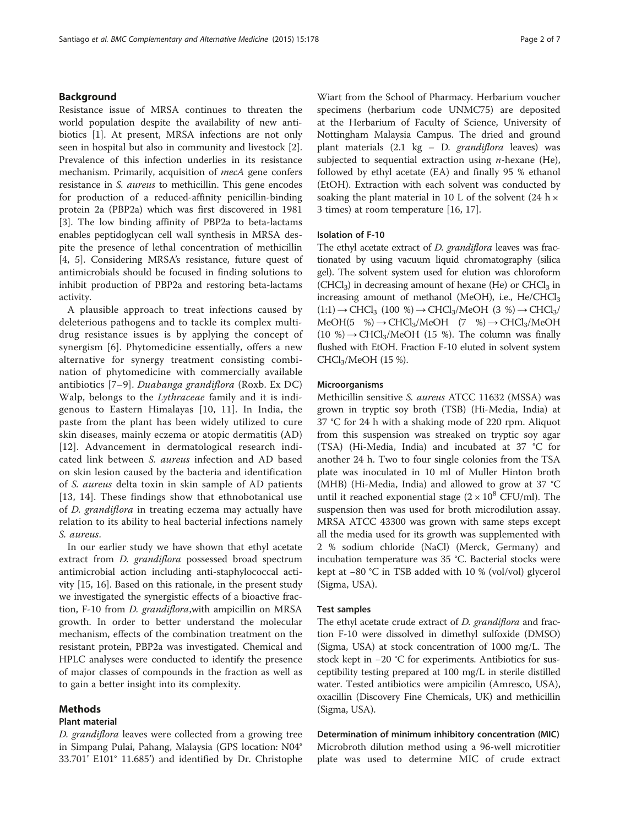### Background

Resistance issue of MRSA continues to threaten the world population despite the availability of new antibiotics [[1\]](#page-6-0). At present, MRSA infections are not only seen in hospital but also in community and livestock [\[2](#page-6-0)]. Prevalence of this infection underlies in its resistance mechanism. Primarily, acquisition of *mecA* gene confers resistance in S. aureus to methicillin. This gene encodes for production of a reduced-affinity penicillin-binding protein 2a (PBP2a) which was first discovered in 1981 [[3\]](#page-6-0). The low binding affinity of PBP2a to beta-lactams enables peptidoglycan cell wall synthesis in MRSA despite the presence of lethal concentration of methicillin [[4, 5\]](#page-6-0). Considering MRSA's resistance, future quest of antimicrobials should be focused in finding solutions to inhibit production of PBP2a and restoring beta-lactams activity.

A plausible approach to treat infections caused by deleterious pathogens and to tackle its complex multidrug resistance issues is by applying the concept of synergism [\[6](#page-6-0)]. Phytomedicine essentially, offers a new alternative for synergy treatment consisting combination of phytomedicine with commercially available antibiotics [[7](#page-6-0)–[9](#page-6-0)]. Duabanga grandiflora (Roxb. Ex DC) Walp, belongs to the Lythraceae family and it is indigenous to Eastern Himalayas [[10, 11\]](#page-6-0). In India, the paste from the plant has been widely utilized to cure skin diseases, mainly eczema or atopic dermatitis (AD) [[12](#page-6-0)]. Advancement in dermatological research indicated link between S. aureus infection and AD based on skin lesion caused by the bacteria and identification of S. aureus delta toxin in skin sample of AD patients [[13](#page-6-0), [14\]](#page-6-0). These findings show that ethnobotanical use of D. grandiflora in treating eczema may actually have relation to its ability to heal bacterial infections namely S. aureus.

In our earlier study we have shown that ethyl acetate extract from *D. grandiflora* possessed broad spectrum antimicrobial action including anti-staphylococcal activity [\[15](#page-6-0), [16](#page-6-0)]. Based on this rationale, in the present study we investigated the synergistic effects of a bioactive fraction, F-10 from *D. grandiflora*, with ampicillin on MRSA growth. In order to better understand the molecular mechanism, effects of the combination treatment on the resistant protein, PBP2a was investigated. Chemical and HPLC analyses were conducted to identify the presence of major classes of compounds in the fraction as well as to gain a better insight into its complexity.

#### Methods

#### Plant material

D. grandiflora leaves were collected from a growing tree in Simpang Pulai, Pahang, Malaysia (GPS location: N04° 33.701' E101° 11.685') and identified by Dr. Christophe

Wiart from the School of Pharmacy. Herbarium voucher specimens (herbarium code UNMC75) are deposited at the Herbarium of Faculty of Science, University of Nottingham Malaysia Campus. The dried and ground plant materials  $(2.1 \text{ kg} - D. \text{grandif}$ lora leaves) was subjected to sequential extraction using  $n$ -hexane (He), followed by ethyl acetate (EA) and finally 95 % ethanol (EtOH). Extraction with each solvent was conducted by soaking the plant material in 10 L of the solvent  $(24 h \times$ 3 times) at room temperature [\[16](#page-6-0), [17](#page-6-0)].

#### Isolation of F-10

The ethyl acetate extract of *D. grandiflora* leaves was fractionated by using vacuum liquid chromatography (silica gel). The solvent system used for elution was chloroform  $(CHCl<sub>3</sub>)$  in decreasing amount of hexane (He) or  $CHCl<sub>3</sub>$  in increasing amount of methanol (MeOH), i.e.,  $He/CHCl<sub>3</sub>$  $(1:1) \rightarrow CHCl<sub>3</sub>$   $(100 \%) \rightarrow CHCl<sub>3</sub>/MeOH$   $(3 \%) \rightarrow CHCl<sub>3</sub>/$  $MeOH(5 \%) \rightarrow CHCl<sub>3</sub>/MeOH$  (7 %)  $\rightarrow CHCl<sub>3</sub>/MeOH$ (10 %)  $\rightarrow$  CHCl<sub>3</sub>/MeOH (15 %). The column was finally flushed with EtOH. Fraction F-10 eluted in solvent system CHCl3/MeOH (15 %).

#### Microorganisms

Methicillin sensitive S. aureus ATCC 11632 (MSSA) was grown in tryptic soy broth (TSB) (Hi-Media, India) at 37 °C for 24 h with a shaking mode of 220 rpm. Aliquot from this suspension was streaked on tryptic soy agar (TSA) (Hi-Media, India) and incubated at 37 °C for another 24 h. Two to four single colonies from the TSA plate was inoculated in 10 ml of Muller Hinton broth (MHB) (Hi-Media, India) and allowed to grow at 37 °C until it reached exponential stage  $(2 \times 10^8 \text{ CFU/ml})$ . The suspension then was used for broth microdilution assay. MRSA ATCC 43300 was grown with same steps except all the media used for its growth was supplemented with 2 % sodium chloride (NaCl) (Merck, Germany) and incubation temperature was 35 °C. Bacterial stocks were kept at −80 °C in TSB added with 10 % (vol/vol) glycerol (Sigma, USA).

#### Test samples

The ethyl acetate crude extract of *D. grandiflora* and fraction F-10 were dissolved in dimethyl sulfoxide (DMSO) (Sigma, USA) at stock concentration of 1000 mg/L. The stock kept in −20 °C for experiments. Antibiotics for susceptibility testing prepared at 100 mg/L in sterile distilled water. Tested antibiotics were ampicilin (Amresco, USA), oxacillin (Discovery Fine Chemicals, UK) and methicillin (Sigma, USA).

Determination of minimum inhibitory concentration (MIC) Microbroth dilution method using a 96-well microtitier plate was used to determine MIC of crude extract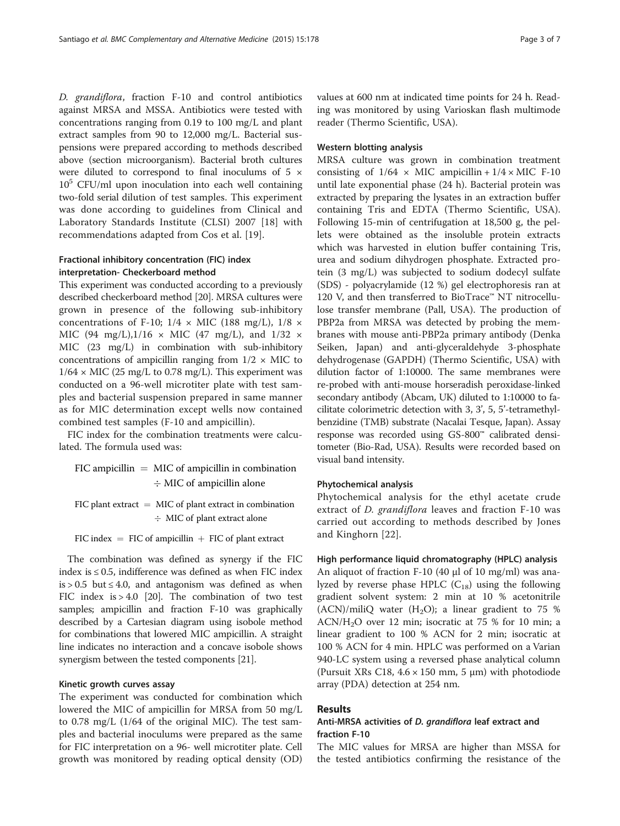D. grandiflora, fraction F-10 and control antibiotics against MRSA and MSSA. Antibiotics were tested with concentrations ranging from 0.19 to 100 mg/L and plant extract samples from 90 to 12,000 mg/L. Bacterial suspensions were prepared according to methods described above (section microorganism). Bacterial broth cultures were diluted to correspond to final inoculums of 5  $\times$  $10<sup>5</sup>$  CFU/ml upon inoculation into each well containing two-fold serial dilution of test samples. This experiment was done according to guidelines from Clinical and Laboratory Standards Institute (CLSI) 2007 [\[18](#page-6-0)] with recommendations adapted from Cos et al. [[19\]](#page-6-0).

### Fractional inhibitory concentration (FIC) index interpretation- Checkerboard method

This experiment was conducted according to a previously described checkerboard method [\[20\]](#page-6-0). MRSA cultures were grown in presence of the following sub-inhibitory concentrations of F-10;  $1/4 \times$  MIC (188 mg/L),  $1/8 \times$ MIC (94 mg/L), $1/16 \times$  MIC (47 mg/L), and  $1/32 \times$ MIC (23 mg/L) in combination with sub-inhibitory concentrations of ampicillin ranging from  $1/2 \times$  MIC to  $1/64 \times$  MIC (25 mg/L to 0.78 mg/L). This experiment was conducted on a 96-well microtiter plate with test samples and bacterial suspension prepared in same manner as for MIC determination except wells now contained combined test samples (F-10 and ampicillin).

FIC index for the combination treatments were calculated. The formula used was:

 $FIC$  ampicillin  $=$  MIC of ampicillin in combination  $\div$  MIC of ampicillin alone

FIC plant extract  $=$  MIC of plant extract in combination - MIC of plant extract alone

FIC index  $=$  FIC of ampicillin  $+$  FIC of plant extract

The combination was defined as synergy if the FIC index is ≤ 0.5, indifference was defined as when FIC index  $is > 0.5$  but  $\leq 4.0$ , and antagonism was defined as when FIC index is > 4.0 [[20](#page-6-0)]. The combination of two test samples; ampicillin and fraction F-10 was graphically described by a Cartesian diagram using isobole method for combinations that lowered MIC ampicillin. A straight line indicates no interaction and a concave isobole shows synergism between the tested components [\[21](#page-6-0)].

#### Kinetic growth curves assay

The experiment was conducted for combination which lowered the MIC of ampicillin for MRSA from 50 mg/L to 0.78 mg/L (1/64 of the original MIC). The test samples and bacterial inoculums were prepared as the same for FIC interpretation on a 96- well microtiter plate. Cell growth was monitored by reading optical density (OD) values at 600 nm at indicated time points for 24 h. Reading was monitored by using Varioskan flash multimode reader (Thermo Scientific, USA).

#### Western blotting analysis

MRSA culture was grown in combination treatment consisting of  $1/64 \times$  MIC ampicillin +  $1/4 \times$  MIC F-10 until late exponential phase (24 h). Bacterial protein was extracted by preparing the lysates in an extraction buffer containing Tris and EDTA (Thermo Scientific, USA). Following 15-min of centrifugation at 18,500 g, the pellets were obtained as the insoluble protein extracts which was harvested in elution buffer containing Tris, urea and sodium dihydrogen phosphate. Extracted protein (3 mg/L) was subjected to sodium dodecyl sulfate (SDS) - polyacrylamide (12 %) gel electrophoresis ran at 120 V, and then transferred to BioTrace™ NT nitrocellulose transfer membrane (Pall, USA). The production of PBP2a from MRSA was detected by probing the membranes with mouse anti-PBP2a primary antibody (Denka Seiken, Japan) and anti-glyceraldehyde 3-phosphate dehydrogenase (GAPDH) (Thermo Scientific, USA) with dilution factor of 1:10000. The same membranes were re-probed with anti-mouse horseradish peroxidase-linked secondary antibody (Abcam, UK) diluted to 1:10000 to facilitate colorimetric detection with 3, 3', 5, 5'-tetramethylbenzidine (TMB) substrate (Nacalai Tesque, Japan). Assay response was recorded using GS-800™ calibrated densitometer (Bio-Rad, USA). Results were recorded based on visual band intensity.

### Phytochemical analysis

Phytochemical analysis for the ethyl acetate crude extract of D. grandiflora leaves and fraction F-10 was carried out according to methods described by Jones and Kinghorn [[22](#page-6-0)].

#### High performance liquid chromatography (HPLC) analysis

An aliquot of fraction F-10 (40 μl of 10 mg/ml) was analyzed by reverse phase HPLC  $(C_{18})$  using the following gradient solvent system: 2 min at 10 % acetonitrile  $(ACN)/miliQ$  water  $(H<sub>2</sub>O)$ ; a linear gradient to 75 %  $ACN/H<sub>2</sub>O$  over 12 min; isocratic at 75 % for 10 min; a linear gradient to 100 % ACN for 2 min; isocratic at 100 % ACN for 4 min. HPLC was performed on a Varian 940-LC system using a reversed phase analytical column (Pursuit XRs C18,  $4.6 \times 150$  mm, 5 µm) with photodiode array (PDA) detection at 254 nm.

#### Results

### Anti-MRSA activities of D. grandiflora leaf extract and fraction F-10

The MIC values for MRSA are higher than MSSA for the tested antibiotics confirming the resistance of the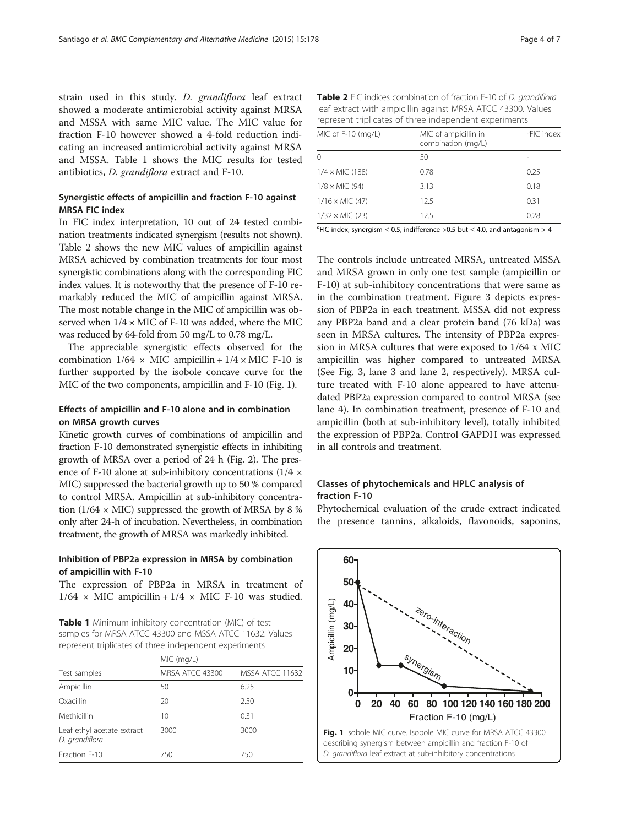strain used in this study. D. grandiflora leaf extract showed a moderate antimicrobial activity against MRSA and MSSA with same MIC value. The MIC value for fraction F-10 however showed a 4-fold reduction indicating an increased antimicrobial activity against MRSA and MSSA. Table 1 shows the MIC results for tested antibiotics, D. grandiflora extract and F-10.

### Synergistic effects of ampicillin and fraction F-10 against MRSA FIC index

In FIC index interpretation, 10 out of 24 tested combination treatments indicated synergism (results not shown). Table 2 shows the new MIC values of ampicillin against MRSA achieved by combination treatments for four most synergistic combinations along with the corresponding FIC index values. It is noteworthy that the presence of F-10 remarkably reduced the MIC of ampicillin against MRSA. The most notable change in the MIC of ampicillin was observed when  $1/4 \times$  MIC of F-10 was added, where the MIC was reduced by 64-fold from 50 mg/L to 0.78 mg/L.

The appreciable synergistic effects observed for the combination  $1/64 \times$  MIC ampicillin +  $1/4 \times$  MIC F-10 is further supported by the isobole concave curve for the MIC of the two components, ampicillin and F-10 (Fig. 1).

#### Effects of ampicillin and F-10 alone and in combination on MRSA growth curves

Kinetic growth curves of combinations of ampicillin and fraction F-10 demonstrated synergistic effects in inhibiting growth of MRSA over a period of 24 h (Fig. [2](#page-4-0)). The presence of F-10 alone at sub-inhibitory concentrations  $(1/4 \times$ MIC) suppressed the bacterial growth up to 50 % compared to control MRSA. Ampicillin at sub-inhibitory concentration ( $1/64 \times$  MIC) suppressed the growth of MRSA by 8 % only after 24-h of incubation. Nevertheless, in combination treatment, the growth of MRSA was markedly inhibited.

### Inhibition of PBP2a expression in MRSA by combination of ampicillin with F-10

The expression of PBP2a in MRSA in treatment of  $1/64 \times$  MIC ampicillin +  $1/4 \times$  MIC F-10 was studied.

Table 1 Minimum inhibitory concentration (MIC) of test samples for MRSA ATCC 43300 and MSSA ATCC 11632. Values represent triplicates of three independent experiments

|                                              | MIC (mq/L)      |                 |  |  |
|----------------------------------------------|-----------------|-----------------|--|--|
| Test samples                                 | MRSA ATCC 43300 | MSSA ATCC 11632 |  |  |
| Ampicillin                                   | 50              | 6.25            |  |  |
| Oxacillin                                    | 20              | 2.50            |  |  |
| Methicillin                                  | 10              | 0.31            |  |  |
| Leaf ethyl acetate extract<br>D. grandiflora | 3000            | 3000            |  |  |
| Fraction F-10                                | 750             | 750             |  |  |

| <b>Table 2</b> FIC indices combination of fraction F-10 of D. grandiflora |
|---------------------------------------------------------------------------|
| leaf extract with ampicillin against MRSA ATCC 43300. Values              |
| represent triplicates of three independent experiments                    |

| MIC of F-10 (mg/L)     | MIC of ampicillin in<br>combination (mg/L) | <sup>a</sup> FIC index |
|------------------------|--------------------------------------------|------------------------|
| $\Omega$               | 50                                         |                        |
| $1/4 \times$ MIC (188) | 0.78                                       | 0.25                   |
| $1/8 \times$ MIC (94)  | 3.13                                       | 0.18                   |
| $1/16 \times$ MIC (47) | 12.5                                       | 0.31                   |
| $1/32 \times$ MIC (23) | 12.5                                       | 0.28                   |

 ${}^{a}$ FIC index; synergism  $\leq$  0.5, indifference >0.5 but  $\leq$  4.0, and antagonism > 4

The controls include untreated MRSA, untreated MSSA and MRSA grown in only one test sample (ampicillin or F-10) at sub-inhibitory concentrations that were same as in the combination treatment. Figure [3](#page-4-0) depicts expression of PBP2a in each treatment. MSSA did not express any PBP2a band and a clear protein band (76 kDa) was seen in MRSA cultures. The intensity of PBP2a expression in MRSA cultures that were exposed to 1/64 x MIC ampicillin was higher compared to untreated MRSA (See Fig. [3,](#page-4-0) lane 3 and lane 2, respectively). MRSA culture treated with F-10 alone appeared to have attenudated PBP2a expression compared to control MRSA (see lane 4). In combination treatment, presence of F-10 and ampicillin (both at sub-inhibitory level), totally inhibited the expression of PBP2a. Control GAPDH was expressed in all controls and treatment.

### Classes of phytochemicals and HPLC analysis of fraction F-10

Phytochemical evaluation of the crude extract indicated the presence tannins, alkaloids, flavonoids, saponins,

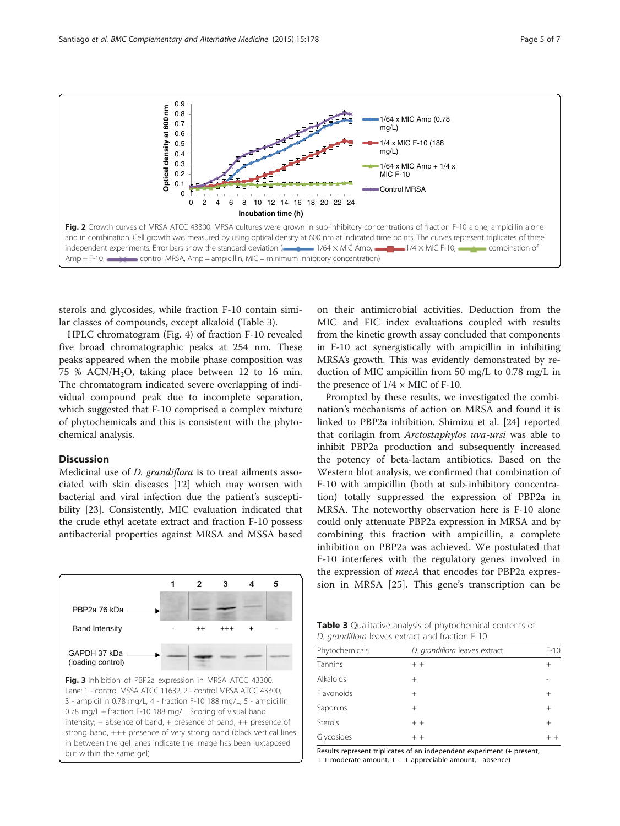sterols and glycosides, while fraction F-10 contain similar classes of compounds, except alkaloid (Table 3).

HPLC chromatogram (Fig. [4\)](#page-5-0) of fraction F-10 revealed five broad chromatographic peaks at 254 nm. These peaks appeared when the mobile phase composition was 75 % ACN/ $H_2O$ , taking place between 12 to 16 min. The chromatogram indicated severe overlapping of individual compound peak due to incomplete separation, which suggested that F-10 comprised a complex mixture of phytochemicals and this is consistent with the phytochemical analysis.

#### **Discussion**

PBP2a 76 kDa **Band Intensity** 

GAPDH 37 kDa (loading control)

Medicinal use of D. grandiflora is to treat ailments associated with skin diseases [[12\]](#page-6-0) which may worsen with bacterial and viral infection due the patient's susceptibility [[23\]](#page-6-0). Consistently, MIC evaluation indicated that the crude ethyl acetate extract and fraction F-10 possess antibacterial properties against MRSA and MSSA based

1

 $\overline{2}$ 

3

4

5

Fig. 3 Inhibition of PBP2a expression in MRSA ATCC 43300. Lane: 1 - control MSSA ATCC 11632, 2 - control MRSA ATCC 43300, 3 - ampicillin 0.78 mg/L, 4 - fraction F-10 188 mg/L, 5 - ampicillin 0.78 mg/L + fraction F-10 188 mg/L. Scoring of visual band intensity; − absence of band, + presence of band, ++ presence of strong band, +++ presence of very strong band (black vertical lines in between the gel lanes indicate the image has been juxtaposed but within the same gel)

on their antimicrobial activities. Deduction from the MIC and FIC index evaluations coupled with results from the kinetic growth assay concluded that components in F-10 act synergistically with ampicillin in inhibiting MRSA's growth. This was evidently demonstrated by reduction of MIC ampicillin from 50 mg/L to 0.78 mg/L in the presence of  $1/4 \times$  MIC of F-10.

Prompted by these results, we investigated the combination's mechanisms of action on MRSA and found it is linked to PBP2a inhibition. Shimizu et al. [[24\]](#page-6-0) reported that corilagin from Arctostaphylos uva-ursi was able to inhibit PBP2a production and subsequently increased the potency of beta-lactam antibiotics. Based on the Western blot analysis, we confirmed that combination of F-10 with ampicillin (both at sub-inhibitory concentration) totally suppressed the expression of PBP2a in MRSA. The noteworthy observation here is F-10 alone could only attenuate PBP2a expression in MRSA and by combining this fraction with ampicillin, a complete inhibition on PBP2a was achieved. We postulated that F-10 interferes with the regulatory genes involved in the expression of mecA that encodes for PBP2a expression in MRSA [\[25](#page-6-0)]. This gene's transcription can be

| <b>Table 3</b> Qualitative analysis of phytochemical contents of |  |  |
|------------------------------------------------------------------|--|--|
| D. grandiflora leaves extract and fraction F-10                  |  |  |

| Phytochemicals   | D. grandiflora leaves extract | $F-10$         |
|------------------|-------------------------------|----------------|
| Tannins          | $++$                          | $\overline{+}$ |
| <b>Alkaloids</b> | $^{+}$                        |                |
| Flavonoids       | $^+$                          | $\overline{+}$ |
| Saponins         | $^+$                          | $^{+}$         |
| Sterols          | $+ +$                         | $^{+}$         |
| Glycosides       | $+ +$                         |                |

Results represent triplicates of an independent experiment (+ present, + + moderate amount, + + + appreciable amount, −absence)

<span id="page-4-0"></span>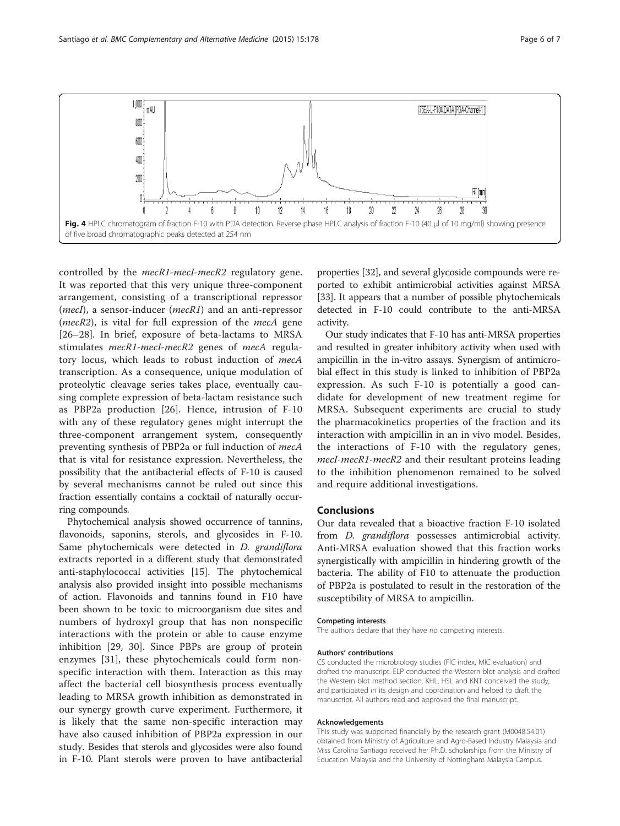<span id="page-5-0"></span>

controlled by the *mecR1-mecI-mecR2* regulatory gene. It was reported that this very unique three-component arrangement, consisting of a transcriptional repressor (*mecI*), a sensor-inducer ( $mecRI$ ) and an anti-repressor ( $mecR2$ ), is vital for full expression of the  $mecA$  gene [[26](#page-6-0)–[28](#page-6-0)]. In brief, exposure of beta-lactams to MRSA stimulates mecR1-mecI-mecR2 genes of mecA regulatory locus, which leads to robust induction of mecA transcription. As a consequence, unique modulation of proteolytic cleavage series takes place, eventually causing complete expression of beta-lactam resistance such as PBP2a production [\[26](#page-6-0)]. Hence, intrusion of F-10 with any of these regulatory genes might interrupt the three-component arrangement system, consequently preventing synthesis of PBP2a or full induction of mecA that is vital for resistance expression. Nevertheless, the possibility that the antibacterial effects of F-10 is caused by several mechanisms cannot be ruled out since this fraction essentially contains a cocktail of naturally occurring compounds.

Phytochemical analysis showed occurrence of tannins, flavonoids, saponins, sterols, and glycosides in F-10. Same phytochemicals were detected in *D. grandiflora* extracts reported in a different study that demonstrated anti-staphylococcal activities [[15\]](#page-6-0). The phytochemical analysis also provided insight into possible mechanisms of action. Flavonoids and tannins found in F10 have been shown to be toxic to microorganism due sites and numbers of hydroxyl group that has non nonspecific interactions with the protein or able to cause enzyme inhibition [[29](#page-6-0), [30\]](#page-6-0). Since PBPs are group of protein enzymes [[31\]](#page-6-0), these phytochemicals could form nonspecific interaction with them. Interaction as this may affect the bacterial cell biosynthesis process eventually leading to MRSA growth inhibition as demonstrated in our synergy growth curve experiment. Furthermore, it is likely that the same non-specific interaction may have also caused inhibition of PBP2a expression in our study. Besides that sterols and glycosides were also found in F-10. Plant sterols were proven to have antibacterial

properties [\[32\]](#page-6-0), and several glycoside compounds were reported to exhibit antimicrobial activities against MRSA [[33](#page-6-0)]. It appears that a number of possible phytochemicals detected in F-10 could contribute to the anti-MRSA activity.

Our study indicates that F-10 has anti-MRSA properties and resulted in greater inhibitory activity when used with ampicillin in the in-vitro assays. Synergism of antimicrobial effect in this study is linked to inhibition of PBP2a expression. As such F-10 is potentially a good candidate for development of new treatment regime for MRSA. Subsequent experiments are crucial to study the pharmacokinetics properties of the fraction and its interaction with ampicillin in an in vivo model. Besides, the interactions of F-10 with the regulatory genes, mecI-mecR1-mecR2 and their resultant proteins leading to the inhibition phenomenon remained to be solved and require additional investigations.

### Conclusions

Our data revealed that a bioactive fraction F-10 isolated from *D. grandiflora* possesses antimicrobial activity. Anti-MRSA evaluation showed that this fraction works synergistically with ampicillin in hindering growth of the bacteria. The ability of F10 to attenuate the production of PBP2a is postulated to result in the restoration of the susceptibility of MRSA to ampicillin.

#### Competing interests

The authors declare that they have no competing interests.

#### Authors' contributions

CS conducted the microbiology studies (FIC index, MIC evaluation) and drafted the manuscript. ELP conducted the Western blot analysis and drafted the Western blot method section. KHL, HSL and KNT conceived the study, and participated in its design and coordination and helped to draft the manuscript. All authors read and approved the final manuscript.

#### Acknowledgements

This study was supported financially by the research grant (M0048.54.01) obtained from Ministry of Agriculture and Agro-Based Industry Malaysia and Miss Carolina Santiago received her Ph.D. scholarships from the Ministry of Education Malaysia and the University of Nottingham Malaysia Campus.